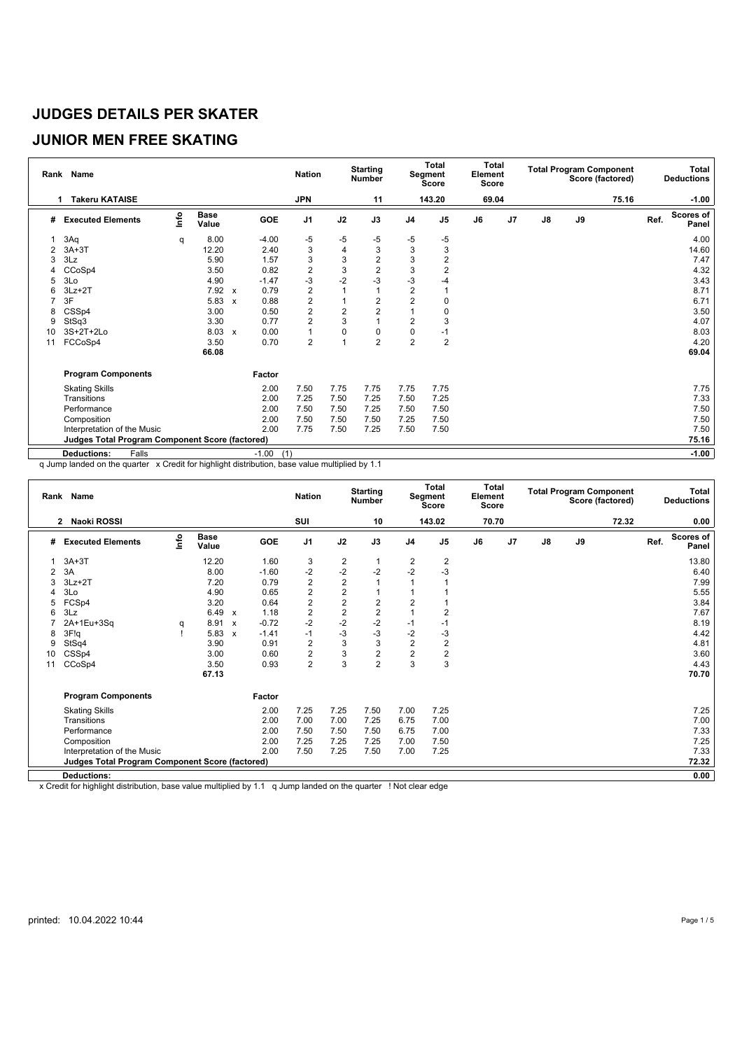#### **JUNIOR MEN FREE SKATING**

|    | Rank Name                                       |      |                      |              |         | <b>Nation</b>    |                | <b>Starting</b><br><b>Number</b> |                | <b>Total</b><br>Segment<br><b>Score</b> | <b>Total</b><br>Element<br><b>Score</b> |                |               |    | <b>Total Program Component</b><br>Score (factored) |      | Total<br><b>Deductions</b> |
|----|-------------------------------------------------|------|----------------------|--------------|---------|------------------|----------------|----------------------------------|----------------|-----------------------------------------|-----------------------------------------|----------------|---------------|----|----------------------------------------------------|------|----------------------------|
| 1  | <b>Takeru KATAISE</b>                           |      |                      |              |         | <b>JPN</b>       |                | 11                               |                | 143.20                                  | 69.04                                   |                |               |    | 75.16                                              |      | $-1.00$                    |
| #  | <b>Executed Elements</b>                        | lnfo | <b>Base</b><br>Value |              | GOE     | J <sub>1</sub>   | J2             | J3                               | J <sub>4</sub> | J <sub>5</sub>                          | J6                                      | J <sub>7</sub> | $\mathsf{J}8$ | J9 |                                                    | Ref. | <b>Scores of</b><br>Panel  |
|    | 3Aq                                             | q    | 8.00                 |              | $-4.00$ | $-5$             | -5             | $-5$                             | -5             | -5                                      |                                         |                |               |    |                                                    |      | 4.00                       |
|    | $3A+3T$                                         |      | 12.20                |              | 2.40    | 3                | 4              | 3                                | 3              | 3                                       |                                         |                |               |    |                                                    |      | 14.60                      |
| 3  | 3Lz                                             |      | 5.90                 |              | 1.57    | 3                | 3              | $\overline{2}$                   | 3              | $\overline{2}$                          |                                         |                |               |    |                                                    |      | 7.47                       |
|    | CCoSp4                                          |      | 3.50                 |              | 0.82    | $\overline{c}$   | 3              | $\overline{2}$                   | 3              | $\overline{2}$                          |                                         |                |               |    |                                                    |      | 4.32                       |
| 5  | 3Lo                                             |      | 4.90                 |              | $-1.47$ | $-3$             | $-2$           | $-3$                             | -3             | -4                                      |                                         |                |               |    |                                                    |      | 3.43                       |
|    | $3Lz + 2T$                                      |      | 7.92                 | $\mathsf{x}$ | 0.79    | $\overline{2}$   |                | 1                                | $\overline{2}$ |                                         |                                         |                |               |    |                                                    |      | 8.71                       |
|    | 3F                                              |      | 5.83                 | $\mathbf{x}$ | 0.88    | $\boldsymbol{2}$ |                | $\overline{2}$                   | $\overline{2}$ | 0                                       |                                         |                |               |    |                                                    |      | 6.71                       |
| 8  | CSSp4                                           |      | 3.00                 |              | 0.50    | $\overline{2}$   | $\overline{2}$ | $\overline{2}$                   | 1              | 0                                       |                                         |                |               |    |                                                    |      | 3.50                       |
| 9  | StSq3                                           |      | 3.30                 |              | 0.77    | $\overline{2}$   | 3              | 1                                | $\overline{2}$ | 3                                       |                                         |                |               |    |                                                    |      | 4.07                       |
| 10 | 3S+2T+2Lo                                       |      | 8.03                 | $\mathsf{x}$ | 0.00    | $\mathbf{1}$     | $\Omega$       | 0                                | 0              | $-1$                                    |                                         |                |               |    |                                                    |      | 8.03                       |
| 11 | FCCoSp4                                         |      | 3.50                 |              | 0.70    | $\overline{2}$   |                | $\overline{2}$                   | $\overline{2}$ | 2                                       |                                         |                |               |    |                                                    |      | 4.20                       |
|    |                                                 |      | 66.08                |              |         |                  |                |                                  |                |                                         |                                         |                |               |    |                                                    |      | 69.04                      |
|    | <b>Program Components</b>                       |      |                      |              | Factor  |                  |                |                                  |                |                                         |                                         |                |               |    |                                                    |      |                            |
|    | <b>Skating Skills</b>                           |      |                      |              | 2.00    | 7.50             | 7.75           | 7.75                             | 7.75           | 7.75                                    |                                         |                |               |    |                                                    |      | 7.75                       |
|    | Transitions                                     |      |                      |              | 2.00    | 7.25             | 7.50           | 7.25                             | 7.50           | 7.25                                    |                                         |                |               |    |                                                    |      | 7.33                       |
|    | Performance                                     |      |                      |              | 2.00    | 7.50             | 7.50           | 7.25                             | 7.50           | 7.50                                    |                                         |                |               |    |                                                    |      | 7.50                       |
|    | Composition                                     |      |                      |              | 2.00    | 7.50             | 7.50           | 7.50                             | 7.25           | 7.50                                    |                                         |                |               |    |                                                    |      | 7.50                       |
|    | Interpretation of the Music                     |      |                      |              | 2.00    | 7.75             | 7.50           | 7.25                             | 7.50           | 7.50                                    |                                         |                |               |    |                                                    |      | 7.50                       |
|    | Judges Total Program Component Score (factored) |      |                      |              |         |                  |                |                                  |                |                                         |                                         |                |               |    |                                                    |      | 75.16                      |
|    | Falls<br><b>Deductions:</b>                     |      |                      |              | $-1.00$ | (1)              |                |                                  |                |                                         |                                         |                |               |    |                                                    |      | $-1.00$                    |

q Jump landed on the quarter x Credit for highlight distribution, base value multiplied by 1.1

|    | Rank Name                                              |                           |                      |                           |         | <b>Nation</b>  |                         | <b>Starting</b><br><b>Number</b> |                         | Total<br>Segment<br><b>Score</b> | <b>Total</b><br>Element<br>Score |    |               |    | <b>Total Program Component</b><br>Score (factored) |      | Total<br><b>Deductions</b> |
|----|--------------------------------------------------------|---------------------------|----------------------|---------------------------|---------|----------------|-------------------------|----------------------------------|-------------------------|----------------------------------|----------------------------------|----|---------------|----|----------------------------------------------------|------|----------------------------|
|    | Naoki ROSSI<br>$\mathbf{2}$                            |                           |                      |                           |         | SUI            |                         | 10                               |                         | 143.02                           | 70.70                            |    |               |    | 72.32                                              |      | 0.00                       |
| #  | <b>Executed Elements</b>                               | $\mathsf{Int} \mathsf{o}$ | <b>Base</b><br>Value |                           | GOE     | J <sub>1</sub> | J2                      | J3                               | J <sub>4</sub>          | J <sub>5</sub>                   | J6                               | J7 | $\mathsf{J}8$ | J9 |                                                    | Ref. | Scores of<br>Panel         |
|    | $3A+3T$                                                |                           | 12.20                |                           | 1.60    | 3              |                         |                                  | $\frac{2}{-2}$          | 2                                |                                  |    |               |    |                                                    |      | 13.80                      |
|    | 3A                                                     |                           | 8.00                 |                           | $-1.60$ | $-2$           | $\frac{2}{-2}$          | $-2$                             |                         | $-3$                             |                                  |    |               |    |                                                    |      | 6.40                       |
| 3  | $3Lz + 2T$                                             |                           | 7.20                 |                           | 0.79    | $\mathbf 2$    | $\overline{2}$          |                                  |                         |                                  |                                  |    |               |    |                                                    |      | 7.99                       |
| 4  | 3Lo                                                    |                           | 4.90                 |                           | 0.65    | $\overline{c}$ | $\overline{\mathbf{c}}$ |                                  |                         |                                  |                                  |    |               |    |                                                    |      | 5.55                       |
|    | FCSp4                                                  |                           | 3.20                 |                           | 0.64    | $\overline{c}$ | $\overline{c}$          | $\overline{2}$                   | $\overline{\mathbf{c}}$ |                                  |                                  |    |               |    |                                                    |      | 3.84                       |
| 6  | 3Lz                                                    |                           | 6.49                 | $\boldsymbol{\mathsf{x}}$ | 1.18    | $\overline{c}$ | $\overline{c}$          | $\overline{c}$                   |                         | 2                                |                                  |    |               |    |                                                    |      | 7.67                       |
|    | 2A+1Eu+3Sq                                             | q                         | 8.91                 | $\boldsymbol{\mathsf{x}}$ | $-0.72$ | $-2$           | $-2$                    | $-2$                             | $-1$                    | -1                               |                                  |    |               |    |                                                    |      | 8.19                       |
| 8  | 3F!q                                                   |                           | 5.83                 | $\boldsymbol{\mathsf{x}}$ | $-1.41$ | $-1$           | $-3$                    | $-3$                             | $-2$                    | $-3$                             |                                  |    |               |    |                                                    |      | 4.42                       |
| 9  | StSq4                                                  |                           | 3.90                 |                           | 0.91    | $\overline{2}$ | 3                       | 3                                | $\overline{2}$          | $\overline{2}$                   |                                  |    |               |    |                                                    |      | 4.81                       |
| 10 | CSSp4                                                  |                           | 3.00                 |                           | 0.60    | $\overline{c}$ | 3                       | $\overline{2}$                   | $\overline{2}$          | $\overline{2}$                   |                                  |    |               |    |                                                    |      | 3.60                       |
| 11 | CCoSp4                                                 |                           | 3.50                 |                           | 0.93    | $\overline{2}$ | 3                       | $\overline{2}$                   | 3                       | 3                                |                                  |    |               |    |                                                    |      | 4.43                       |
|    |                                                        |                           | 67.13                |                           |         |                |                         |                                  |                         |                                  |                                  |    |               |    |                                                    |      | 70.70                      |
|    | <b>Program Components</b>                              |                           |                      |                           | Factor  |                |                         |                                  |                         |                                  |                                  |    |               |    |                                                    |      |                            |
|    | <b>Skating Skills</b>                                  |                           |                      |                           | 2.00    | 7.25           | 7.25                    | 7.50                             | 7.00                    | 7.25                             |                                  |    |               |    |                                                    |      | 7.25                       |
|    | Transitions                                            |                           |                      |                           | 2.00    | 7.00           | 7.00                    | 7.25                             | 6.75                    | 7.00                             |                                  |    |               |    |                                                    |      | 7.00                       |
|    | Performance                                            |                           |                      |                           | 2.00    | 7.50           | 7.50                    | 7.50                             | 6.75                    | 7.00                             |                                  |    |               |    |                                                    |      | 7.33                       |
|    | Composition                                            |                           |                      |                           | 2.00    | 7.25           | 7.25                    | 7.25                             | 7.00                    | 7.50                             |                                  |    |               |    |                                                    |      | 7.25                       |
|    | Interpretation of the Music                            |                           |                      |                           | 2.00    | 7.50           | 7.25                    | 7.50                             | 7.00                    | 7.25                             |                                  |    |               |    |                                                    |      | 7.33                       |
|    | <b>Judges Total Program Component Score (factored)</b> |                           |                      |                           |         |                |                         |                                  |                         |                                  |                                  |    |               |    |                                                    |      | 72.32                      |
|    | <b>Deductions:</b>                                     |                           |                      |                           |         |                |                         |                                  |                         |                                  |                                  |    |               |    |                                                    |      | 0.00                       |
|    |                                                        |                           |                      |                           |         |                |                         |                                  |                         |                                  |                                  |    |               |    |                                                    |      |                            |

x Credit for highlight distribution, base value multiplied by 1.1 q Jump landed on the quarter ! Not clear edge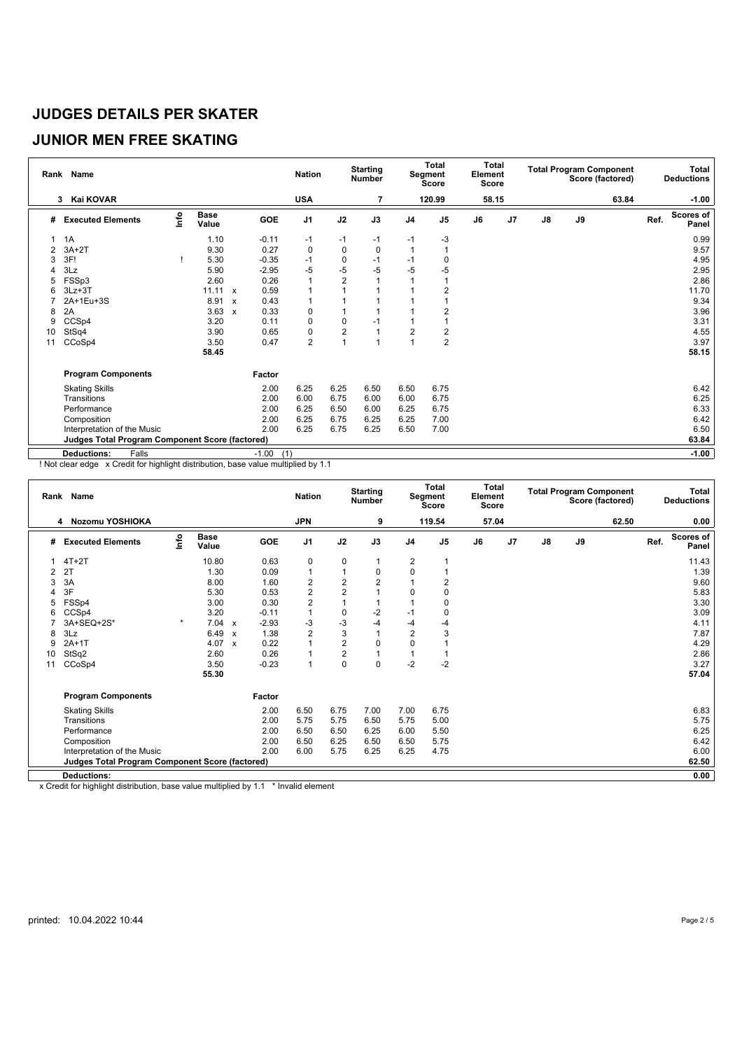#### **JUNIOR MEN FREE SKATING**

|    | Rank Name                                       |      |                      |                           |                | <b>Nation</b>  |                | <b>Starting</b><br>Number |                | Total<br>Segment<br><b>Score</b> | <b>Total</b><br>Element<br>Score |                |    |    | <b>Total Program Component</b><br>Score (factored) |      | Total<br><b>Deductions</b> |
|----|-------------------------------------------------|------|----------------------|---------------------------|----------------|----------------|----------------|---------------------------|----------------|----------------------------------|----------------------------------|----------------|----|----|----------------------------------------------------|------|----------------------------|
|    | Kai KOVAR<br>3                                  |      |                      |                           |                | <b>USA</b>     |                |                           |                | 120.99                           | 58.15                            |                |    |    | 63.84                                              |      | $-1.00$                    |
| #  | <b>Executed Elements</b>                        | Info | <b>Base</b><br>Value |                           | <b>GOE</b>     | J <sub>1</sub> | J2             | J3                        | J <sub>4</sub> | J <sub>5</sub>                   | J6                               | J <sub>7</sub> | J8 | J9 |                                                    | Ref. | <b>Scores of</b><br>Panel  |
|    | 1A                                              |      | 1.10                 |                           | $-0.11$        | $-1$           | $-1$           | -1                        | $-1$           | -3                               |                                  |                |    |    |                                                    |      | 0.99                       |
| 2  | $3A+2T$                                         |      | 9.30                 |                           | 0.27           | 0              | 0              | $\mathbf 0$               |                |                                  |                                  |                |    |    |                                                    |      | 9.57                       |
|    | 3F!                                             |      | 5.30                 |                           | $-0.35$        | $-1$           | 0              | $-1$                      | $-1$           |                                  |                                  |                |    |    |                                                    |      | 4.95                       |
|    | 3Lz                                             |      | 5.90                 |                           | $-2.95$        | -5             | -5             | $-5$                      | $-5$           | $-5$                             |                                  |                |    |    |                                                    |      | 2.95                       |
|    | FSSp3                                           |      | 2.60                 |                           | 0.26           | $\mathbf{1}$   | $\overline{2}$ |                           |                |                                  |                                  |                |    |    |                                                    |      | 2.86                       |
| 6  | $3Lz + 3T$                                      |      | 11.11                | $\mathbf{x}$              | 0.59           | 1              |                |                           |                |                                  |                                  |                |    |    |                                                    |      | 11.70                      |
|    | 2A+1Eu+3S                                       |      | 8.91                 | $\boldsymbol{\mathsf{x}}$ | 0.43           | 1              |                |                           |                |                                  |                                  |                |    |    |                                                    |      | 9.34                       |
| 8  | 2A                                              |      | 3.63                 | $\boldsymbol{\mathsf{x}}$ | 0.33           | 0              |                |                           |                | 2                                |                                  |                |    |    |                                                    |      | 3.96                       |
| 9  | CCSp4                                           |      | 3.20                 |                           | 0.11           | 0              | 0              | -1                        |                |                                  |                                  |                |    |    |                                                    |      | 3.31                       |
| 10 | StSq4                                           |      | 3.90                 |                           | 0.65           | 0              | $\overline{2}$ |                           | $\overline{2}$ | 2                                |                                  |                |    |    |                                                    |      | 4.55                       |
| 11 | CCoSp4                                          |      | 3.50                 |                           | 0.47           | $\overline{2}$ | $\overline{1}$ |                           |                | $\overline{2}$                   |                                  |                |    |    |                                                    |      | 3.97                       |
|    |                                                 |      | 58.45                |                           |                |                |                |                           |                |                                  |                                  |                |    |    |                                                    |      | 58.15                      |
|    | <b>Program Components</b>                       |      |                      |                           | Factor         |                |                |                           |                |                                  |                                  |                |    |    |                                                    |      |                            |
|    | <b>Skating Skills</b>                           |      |                      |                           | 2.00           | 6.25           | 6.25           | 6.50                      | 6.50           | 6.75                             |                                  |                |    |    |                                                    |      | 6.42                       |
|    | Transitions                                     |      |                      |                           | 2.00           | 6.00           | 6.75           | 6.00                      | 6.00           | 6.75                             |                                  |                |    |    |                                                    |      | 6.25                       |
|    | Performance                                     |      |                      |                           | 2.00           | 6.25           | 6.50           | 6.00                      | 6.25           | 6.75                             |                                  |                |    |    |                                                    |      | 6.33                       |
|    | Composition                                     |      |                      |                           | 2.00           | 6.25           | 6.75           | 6.25                      | 6.25           | 7.00                             |                                  |                |    |    |                                                    |      | 6.42                       |
|    | Interpretation of the Music                     |      |                      |                           | 2.00           | 6.25           | 6.75           | 6.25                      | 6.50           | 7.00                             |                                  |                |    |    |                                                    |      | 6.50                       |
|    | Judges Total Program Component Score (factored) |      |                      |                           |                |                |                |                           |                |                                  |                                  |                |    |    |                                                    |      | 63.84                      |
|    | Falls<br><b>Deductions:</b>                     |      |                      |                           | $-1.00$<br>(1) |                |                |                           |                |                                  |                                  |                |    |    |                                                    |      | $-1.00$                    |

! Not clear edge x Credit for highlight distribution, base value multiplied by 1.1

|    | Rank Name                                       |                           |                      |                           |         | <b>Nation</b>           |                | <b>Starting</b><br><b>Number</b> |                | Total<br>Segment<br><b>Score</b> | <b>Total</b><br>Element<br><b>Score</b> |                |               |    | <b>Total Program Component</b><br>Score (factored) |      | Total<br><b>Deductions</b> |
|----|-------------------------------------------------|---------------------------|----------------------|---------------------------|---------|-------------------------|----------------|----------------------------------|----------------|----------------------------------|-----------------------------------------|----------------|---------------|----|----------------------------------------------------|------|----------------------------|
|    | Nozomu YOSHIOKA<br>4                            |                           |                      |                           |         | <b>JPN</b>              |                | 9                                |                | 119.54                           | 57.04                                   |                |               |    | 62.50                                              |      | 0.00                       |
| #  | <b>Executed Elements</b>                        | $\mathsf{Int} \mathsf{o}$ | <b>Base</b><br>Value |                           | GOE     | J <sub>1</sub>          | J2             | J3                               | J <sub>4</sub> | J <sub>5</sub>                   | J6                                      | J <sub>7</sub> | $\mathsf{J}8$ | J9 |                                                    | Ref. | <b>Scores of</b><br>Panel  |
|    | $4T+2T$                                         |                           | 10.80                |                           | 0.63    | 0                       | 0              | 1                                | 2              |                                  |                                         |                |               |    |                                                    |      | 11.43                      |
|    | 2T                                              |                           | 1.30                 |                           | 0.09    | 1                       | 1              | 0                                | $\mathbf 0$    |                                  |                                         |                |               |    |                                                    |      | 1.39                       |
| 3  | 3A                                              |                           | 8.00                 |                           | 1.60    | $\boldsymbol{2}$        | $\overline{2}$ | $\overline{2}$                   |                | 2                                |                                         |                |               |    |                                                    |      | 9.60                       |
| 4  | 3F                                              |                           | 5.30                 |                           | 0.53    | $\overline{\mathbf{c}}$ | $\overline{2}$ |                                  | $\Omega$       | $\Omega$                         |                                         |                |               |    |                                                    |      | 5.83                       |
| 5  | FSSp4                                           |                           | 3.00                 |                           | 0.30    | $\overline{c}$          | 1              |                                  |                | 0                                |                                         |                |               |    |                                                    |      | 3.30                       |
| 6  | CCSp4                                           |                           | 3.20                 |                           | $-0.11$ | 1                       | $\pmb{0}$      | $-2$                             | $-1$           | 0                                |                                         |                |               |    |                                                    |      | 3.09                       |
|    | 3A+SEQ+2S*                                      | $\star$                   | 7.04                 | $\mathbf{x}$              | $-2.93$ | -3                      | -3             | $-4$                             | $-4$           | -4                               |                                         |                |               |    |                                                    |      | 4.11                       |
| 8  | 3Lz                                             |                           | 6.49                 | $\boldsymbol{\mathsf{x}}$ | 1.38    | $\overline{2}$          | 3              | $\overline{1}$                   | $\overline{2}$ | 3                                |                                         |                |               |    |                                                    |      | 7.87                       |
| 9  | $2A+1T$                                         |                           | 4.07                 | $\boldsymbol{\mathsf{x}}$ | 0.22    | $\mathbf{1}$            | $\overline{2}$ | 0                                | $\mathbf 0$    |                                  |                                         |                |               |    |                                                    |      | 4.29                       |
| 10 | StSq2                                           |                           | 2.60                 |                           | 0.26    | 1                       | $\overline{2}$ | $\overline{1}$                   |                |                                  |                                         |                |               |    |                                                    |      | 2.86                       |
| 11 | CCoSp4                                          |                           | 3.50                 |                           | $-0.23$ | 1                       | $\mathbf 0$    | $\mathbf 0$                      | $-2$           | $-2$                             |                                         |                |               |    |                                                    |      | 3.27                       |
|    |                                                 |                           | 55.30                |                           |         |                         |                |                                  |                |                                  |                                         |                |               |    |                                                    |      | 57.04                      |
|    | <b>Program Components</b>                       |                           |                      |                           | Factor  |                         |                |                                  |                |                                  |                                         |                |               |    |                                                    |      |                            |
|    | <b>Skating Skills</b>                           |                           |                      |                           | 2.00    | 6.50                    | 6.75           | 7.00                             | 7.00           | 6.75                             |                                         |                |               |    |                                                    |      | 6.83                       |
|    | Transitions                                     |                           |                      |                           | 2.00    | 5.75                    | 5.75           | 6.50                             | 5.75           | 5.00                             |                                         |                |               |    |                                                    |      | 5.75                       |
|    | Performance                                     |                           |                      |                           | 2.00    | 6.50                    | 6.50           | 6.25                             | 6.00           | 5.50                             |                                         |                |               |    |                                                    |      | 6.25                       |
|    | Composition                                     |                           |                      |                           | 2.00    | 6.50                    | 6.25           | 6.50                             | 6.50           | 5.75                             |                                         |                |               |    |                                                    |      | 6.42                       |
|    | Interpretation of the Music                     |                           |                      |                           | 2.00    | 6.00                    | 5.75           | 6.25                             | 6.25           | 4.75                             |                                         |                |               |    |                                                    |      | 6.00                       |
|    | Judges Total Program Component Score (factored) |                           |                      |                           |         |                         |                |                                  |                |                                  |                                         |                |               |    |                                                    |      | 62.50                      |
|    | <b>Deductions:</b>                              |                           |                      |                           |         |                         |                |                                  |                |                                  |                                         |                |               |    |                                                    |      | 0.00                       |
|    |                                                 |                           |                      |                           |         |                         |                |                                  |                |                                  |                                         |                |               |    |                                                    |      |                            |

x Credit for highlight distribution, base value multiplied by 1.1 \* Invalid element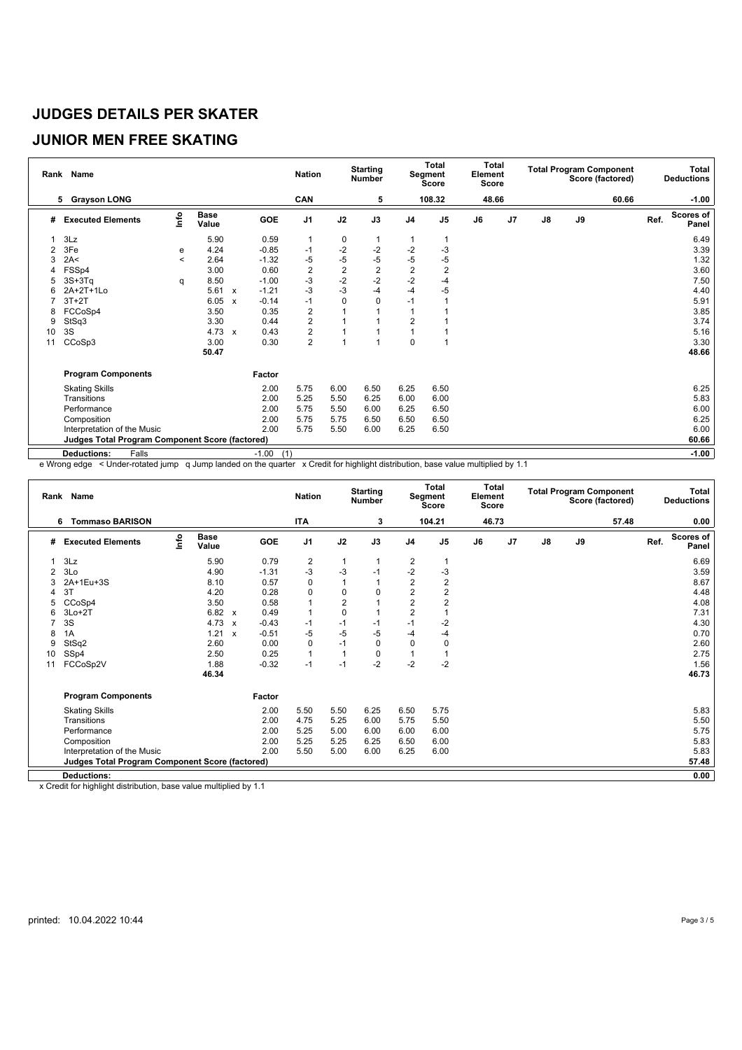#### **JUNIOR MEN FREE SKATING**

|    | Rank Name                                              |       |                      |                           |                | <b>Nation</b>           |                | <b>Starting</b><br><b>Number</b> |                | <b>Total</b><br>Segment<br><b>Score</b> | Total<br>Element<br><b>Score</b> |                |               |    | <b>Total Program Component</b><br>Score (factored) |      | Total<br><b>Deductions</b> |
|----|--------------------------------------------------------|-------|----------------------|---------------------------|----------------|-------------------------|----------------|----------------------------------|----------------|-----------------------------------------|----------------------------------|----------------|---------------|----|----------------------------------------------------|------|----------------------------|
|    | <b>Grayson LONG</b><br>5                               |       |                      |                           |                | CAN                     |                | 5                                |                | 108.32                                  | 48.66                            |                |               |    | 60.66                                              |      | $-1.00$                    |
| #  | <b>Executed Elements</b>                               | lnfo  | <b>Base</b><br>Value |                           | GOE            | J <sub>1</sub>          | J2             | J3                               | J <sub>4</sub> | J <sub>5</sub>                          | J6                               | J <sub>7</sub> | $\mathsf{J}8$ | J9 |                                                    | Ref. | <b>Scores of</b><br>Panel  |
|    | 3Lz                                                    |       | 5.90                 |                           | 0.59           | 1                       | 0              | 1                                |                |                                         |                                  |                |               |    |                                                    |      | 6.49                       |
|    | 3Fe                                                    | е     | 4.24                 |                           | $-0.85$        | $-1$                    | $-2$           | $-2$                             | $-2$           | $-3$                                    |                                  |                |               |    |                                                    |      | 3.39                       |
| 3  | 2A<                                                    | $\,<$ | 2.64                 |                           | $-1.32$        | $-5$                    | $-5$           | $-5$                             | -5             | $-5$                                    |                                  |                |               |    |                                                    |      | 1.32                       |
|    | FSSp4                                                  |       | 3.00                 |                           | 0.60           | $\overline{2}$          | $\overline{2}$ | $\overline{2}$                   | $\overline{2}$ | $\overline{2}$                          |                                  |                |               |    |                                                    |      | 3.60                       |
| 5  | $3S+3Tq$                                               | q     | 8.50                 |                           | $-1.00$        | $-3$                    | $-2$           | $-2$                             | $-2$           | -4                                      |                                  |                |               |    |                                                    |      | 7.50                       |
| 6  | 2A+2T+1Lo                                              |       | 5.61                 | $\mathsf{x}$              | $-1.21$        | $-3$                    | $-3$           | $-4$                             | $-4$           | $-5$                                    |                                  |                |               |    |                                                    |      | 4.40                       |
|    | $3T+2T$                                                |       | 6.05                 | $\boldsymbol{\mathsf{x}}$ | $-0.14$        | $-1$                    | $\mathbf 0$    | 0                                | $-1$           |                                         |                                  |                |               |    |                                                    |      | 5.91                       |
| 8  | FCCoSp4                                                |       | 3.50                 |                           | 0.35           | $\overline{\mathbf{c}}$ |                |                                  |                |                                         |                                  |                |               |    |                                                    |      | 3.85                       |
| 9  | StSq3                                                  |       | 3.30                 |                           | 0.44           | $\overline{c}$          |                |                                  | $\overline{2}$ |                                         |                                  |                |               |    |                                                    |      | 3.74                       |
| 10 | 3S                                                     |       | 4.73                 | $\mathbf{x}$              | 0.43           | $\overline{c}$          |                |                                  | $\overline{1}$ |                                         |                                  |                |               |    |                                                    |      | 5.16                       |
| 11 | CCoSp3                                                 |       | 3.00                 |                           | 0.30           | $\overline{2}$          |                |                                  | $\Omega$       |                                         |                                  |                |               |    |                                                    |      | 3.30                       |
|    |                                                        |       | 50.47                |                           |                |                         |                |                                  |                |                                         |                                  |                |               |    |                                                    |      | 48.66                      |
|    | <b>Program Components</b>                              |       |                      |                           | Factor         |                         |                |                                  |                |                                         |                                  |                |               |    |                                                    |      |                            |
|    | <b>Skating Skills</b>                                  |       |                      |                           | 2.00           | 5.75                    | 6.00           | 6.50                             | 6.25           | 6.50                                    |                                  |                |               |    |                                                    |      | 6.25                       |
|    | Transitions                                            |       |                      |                           | 2.00           | 5.25                    | 5.50           | 6.25                             | 6.00           | 6.00                                    |                                  |                |               |    |                                                    |      | 5.83                       |
|    | Performance                                            |       |                      |                           | 2.00           | 5.75                    | 5.50           | 6.00                             | 6.25           | 6.50                                    |                                  |                |               |    |                                                    |      | 6.00                       |
|    | Composition                                            |       |                      |                           | 2.00           | 5.75                    | 5.75           | 6.50                             | 6.50           | 6.50                                    |                                  |                |               |    |                                                    |      | 6.25                       |
|    | Interpretation of the Music                            |       |                      |                           | 2.00           | 5.75                    | 5.50           | 6.00                             | 6.25           | 6.50                                    |                                  |                |               |    |                                                    |      | 6.00                       |
|    | <b>Judges Total Program Component Score (factored)</b> |       |                      |                           |                |                         |                |                                  |                |                                         |                                  |                |               |    |                                                    |      | 60.66                      |
|    | Falls<br><b>Deductions:</b>                            |       |                      |                           | (1)<br>$-1.00$ |                         |                |                                  |                |                                         |                                  |                |               |    |                                                    |      | $-1.00$                    |

e Wrong edge < Under-rotated jump q Jump landed on the quarter x Credit for highlight distribution, base value multiplied by 1.1

| Rank | Name                                                   |      |                      |                           |         | <b>Nation</b>           |                | <b>Starting</b><br><b>Number</b> |                | Total<br>Segment<br><b>Score</b> | Total<br>Element<br><b>Score</b> |    |               | <b>Total Program Component</b> | Score (factored) |      | Total<br><b>Deductions</b> |
|------|--------------------------------------------------------|------|----------------------|---------------------------|---------|-------------------------|----------------|----------------------------------|----------------|----------------------------------|----------------------------------|----|---------------|--------------------------------|------------------|------|----------------------------|
|      | <b>Tommaso BARISON</b><br>6                            |      |                      |                           |         | <b>ITA</b>              |                | 3                                |                | 104.21                           | 46.73                            |    |               |                                | 57.48            |      | 0.00                       |
| #    | <b>Executed Elements</b>                               | lnfo | <b>Base</b><br>Value |                           | GOE     | J <sub>1</sub>          | J2             | J3                               | J <sub>4</sub> | J <sub>5</sub>                   | J6                               | J7 | $\mathsf{J}8$ | J9                             |                  | Ref. | <b>Scores of</b><br>Panel  |
|      | 3Lz                                                    |      | 5.90                 |                           | 0.79    | $\overline{\mathbf{c}}$ | 1              |                                  | 2              |                                  |                                  |    |               |                                |                  |      | 6.69                       |
| 2    | 3Lo                                                    |      | 4.90                 |                           | $-1.31$ | -3                      | $-3$           | $-1$                             | $-2$           | $-3$                             |                                  |    |               |                                |                  |      | 3.59                       |
| 3    | 2A+1Eu+3S                                              |      | 8.10                 |                           | 0.57    | $\mathbf 0$             | $\overline{1}$ |                                  | $\overline{2}$ | 2                                |                                  |    |               |                                |                  |      | 8.67                       |
| 4    | 3T                                                     |      | 4.20                 |                           | 0.28    | 0                       | $\pmb{0}$      | $\mathbf 0$                      | $\overline{c}$ | 2                                |                                  |    |               |                                |                  |      | 4.48                       |
| 5    | CCoSp4                                                 |      | 3.50                 |                           | 0.58    | 1                       | $\overline{2}$ |                                  | $\overline{2}$ | 2                                |                                  |    |               |                                |                  |      | 4.08                       |
| 6    | $3Lo+2T$                                               |      | 6.82                 | $\boldsymbol{\mathsf{x}}$ | 0.49    | $\mathbf{1}$            | $\mathbf 0$    |                                  | $\overline{2}$ |                                  |                                  |    |               |                                |                  |      | 7.31                       |
|      | 3S                                                     |      | 4.73                 | $\boldsymbol{\mathsf{x}}$ | $-0.43$ | $-1$                    | $-1$           | $-1$                             | $-1$           | $-2$                             |                                  |    |               |                                |                  |      | 4.30                       |
| 8    | 1A                                                     |      | 1.21                 | $\boldsymbol{\mathsf{x}}$ | $-0.51$ | $-5$                    | $-5$           | $-5$                             | -4             | $-4$                             |                                  |    |               |                                |                  |      | 0.70                       |
| 9    | StSq2                                                  |      | 2.60                 |                           | 0.00    | $\mathbf 0$             | $-1$           | $\mathbf 0$                      | $\mathbf 0$    | $\mathbf 0$                      |                                  |    |               |                                |                  |      | 2.60                       |
| 10   | SSp4                                                   |      | 2.50                 |                           | 0.25    | $\mathbf{1}$            | $\overline{1}$ | $\mathbf 0$                      | $\overline{1}$ |                                  |                                  |    |               |                                |                  |      | 2.75                       |
| 11   | FCCoSp2V                                               |      | 1.88                 |                           | $-0.32$ | $-1$                    | $-1$           | $-2$                             | $-2$           | $-2$                             |                                  |    |               |                                |                  |      | 1.56                       |
|      |                                                        |      | 46.34                |                           |         |                         |                |                                  |                |                                  |                                  |    |               |                                |                  |      | 46.73                      |
|      | <b>Program Components</b>                              |      |                      |                           | Factor  |                         |                |                                  |                |                                  |                                  |    |               |                                |                  |      |                            |
|      | <b>Skating Skills</b>                                  |      |                      |                           | 2.00    | 5.50                    | 5.50           | 6.25                             | 6.50           | 5.75                             |                                  |    |               |                                |                  |      | 5.83                       |
|      | Transitions                                            |      |                      |                           | 2.00    | 4.75                    | 5.25           | 6.00                             | 5.75           | 5.50                             |                                  |    |               |                                |                  |      | 5.50                       |
|      | Performance                                            |      |                      |                           | 2.00    | 5.25                    | 5.00           | 6.00                             | 6.00           | 6.00                             |                                  |    |               |                                |                  |      | 5.75                       |
|      | Composition                                            |      |                      |                           | 2.00    | 5.25                    | 5.25           | 6.25                             | 6.50           | 6.00                             |                                  |    |               |                                |                  |      | 5.83                       |
|      | Interpretation of the Music                            |      |                      |                           | 2.00    | 5.50                    | 5.00           | 6.00                             | 6.25           | 6.00                             |                                  |    |               |                                |                  |      | 5.83                       |
|      | <b>Judges Total Program Component Score (factored)</b> |      |                      |                           |         |                         |                |                                  |                |                                  |                                  |    |               |                                |                  |      | 57.48                      |
|      |                                                        |      |                      |                           |         |                         |                |                                  |                |                                  |                                  |    |               |                                |                  |      |                            |
|      | <b>Deductions:</b>                                     |      |                      |                           |         |                         |                |                                  |                |                                  |                                  |    |               |                                |                  |      | 0.00                       |

x Credit for highlight distribution, base value multiplied by 1.1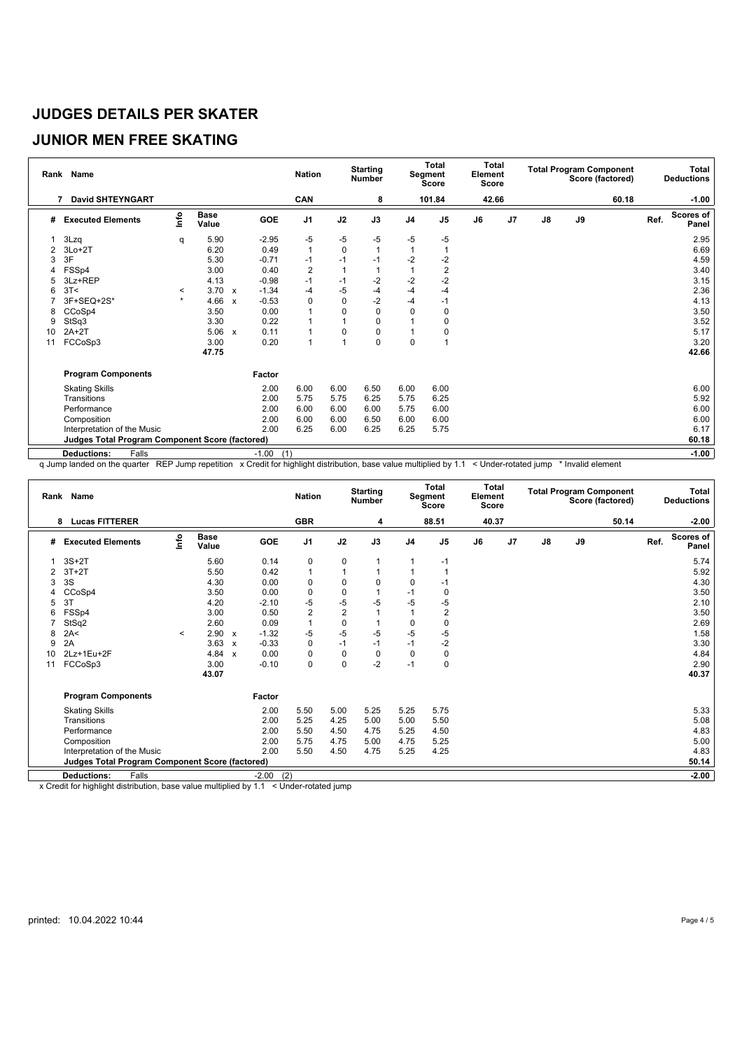#### **JUNIOR MEN FREE SKATING**

|    | Rank Name                                              |         |                      |                           |                | <b>Nation</b>  |              | <b>Starting</b><br><b>Number</b> |                | <b>Total</b><br>Segment<br><b>Score</b> | Total<br>Element<br>Score |                |               |    | <b>Total Program Component</b><br>Score (factored) |      | Total<br><b>Deductions</b> |
|----|--------------------------------------------------------|---------|----------------------|---------------------------|----------------|----------------|--------------|----------------------------------|----------------|-----------------------------------------|---------------------------|----------------|---------------|----|----------------------------------------------------|------|----------------------------|
|    | <b>David SHTEYNGART</b><br>7                           |         |                      |                           |                | CAN            |              | 8                                |                | 101.84                                  | 42.66                     |                |               |    | 60.18                                              |      | $-1.00$                    |
| #  | <b>Executed Elements</b>                               | lnfo    | <b>Base</b><br>Value |                           | GOE            | J <sub>1</sub> | J2           | J3                               | J <sub>4</sub> | J <sub>5</sub>                          | J6                        | J <sub>7</sub> | $\mathsf{J}8$ | J9 |                                                    | Ref. | <b>Scores of</b><br>Panel  |
|    | 3Lzq                                                   | q       | 5.90                 |                           | $-2.95$        | -5             | -5           | $-5$                             | -5             | $-5$                                    |                           |                |               |    |                                                    |      | 2.95                       |
| 2  | $3Lo+2T$                                               |         | 6.20                 |                           | 0.49           | $\mathbf{1}$   | $\mathbf 0$  |                                  | $\overline{1}$ |                                         |                           |                |               |    |                                                    |      | 6.69                       |
| 3  | 3F                                                     |         | 5.30                 |                           | $-0.71$        | $-1$           | $-1$         | $-1$                             | $-2$           | $-2$                                    |                           |                |               |    |                                                    |      | 4.59                       |
|    | FSSp4                                                  |         | 3.00                 |                           | 0.40           | $\overline{2}$ | $\mathbf{1}$ |                                  |                | $\overline{2}$                          |                           |                |               |    |                                                    |      | 3.40                       |
|    | 3Lz+REP                                                |         | 4.13                 |                           | $-0.98$        | $-1$           | $-1$         | $-2$                             | $-2$           | $-2$                                    |                           |                |               |    |                                                    |      | 3.15                       |
| 6  | 3T<                                                    | $\,<\,$ | 3.70                 | $\boldsymbol{\mathsf{x}}$ | $-1.34$        | -4             | $-5$         | $-4$                             | $-4$           | $-4$                                    |                           |                |               |    |                                                    |      | 2.36                       |
|    | 3F+SEQ+2S*                                             | $\star$ | 4.66                 | $\boldsymbol{\mathsf{x}}$ | $-0.53$        | 0              | $\mathbf 0$  | $-2$                             | -4             | $-1$                                    |                           |                |               |    |                                                    |      | 4.13                       |
| 8  | CCoSp4                                                 |         | 3.50                 |                           | 0.00           |                | 0            | 0                                | $\mathbf 0$    | 0                                       |                           |                |               |    |                                                    |      | 3.50                       |
| 9  | StSq3                                                  |         | 3.30                 |                           | 0.22           |                |              | 0                                |                | 0                                       |                           |                |               |    |                                                    |      | 3.52                       |
| 10 | $2A+2T$                                                |         | 5.06                 | $\boldsymbol{\mathsf{x}}$ | 0.11           |                | 0            | 0                                |                | 0                                       |                           |                |               |    |                                                    |      | 5.17                       |
| 11 | FCCoSp3                                                |         | 3.00                 |                           | 0.20           | 1              | 1            | $\Omega$                         | $\mathbf 0$    |                                         |                           |                |               |    |                                                    |      | 3.20                       |
|    |                                                        |         | 47.75                |                           |                |                |              |                                  |                |                                         |                           |                |               |    |                                                    |      | 42.66                      |
|    | <b>Program Components</b>                              |         |                      |                           | Factor         |                |              |                                  |                |                                         |                           |                |               |    |                                                    |      |                            |
|    | <b>Skating Skills</b>                                  |         |                      |                           | 2.00           | 6.00           | 6.00         | 6.50                             | 6.00           | 6.00                                    |                           |                |               |    |                                                    |      | 6.00                       |
|    | Transitions                                            |         |                      |                           | 2.00           | 5.75           | 5.75         | 6.25                             | 5.75           | 6.25                                    |                           |                |               |    |                                                    |      | 5.92                       |
|    | Performance                                            |         |                      |                           | 2.00           | 6.00           | 6.00         | 6.00                             | 5.75           | 6.00                                    |                           |                |               |    |                                                    |      | 6.00                       |
|    | Composition                                            |         |                      |                           | 2.00           | 6.00           | 6.00         | 6.50                             | 6.00           | 6.00                                    |                           |                |               |    |                                                    |      | 6.00                       |
|    | Interpretation of the Music                            |         |                      |                           | 2.00           | 6.25           | 6.00         | 6.25                             | 6.25           | 5.75                                    |                           |                |               |    |                                                    |      | 6.17                       |
|    | <b>Judges Total Program Component Score (factored)</b> |         |                      |                           |                |                |              |                                  |                |                                         |                           |                |               |    |                                                    |      | 60.18                      |
|    | Falls<br><b>Deductions:</b>                            |         |                      |                           | (1)<br>$-1.00$ |                |              |                                  |                |                                         |                           |                |               |    |                                                    |      | $-1.00$                    |

q Jump landed on the quarter REP Jump repetition x Credit for highlight distribution, base value multiplied by 1.1 < Under-rotated jump \* Invalid element

| <b>GBR</b><br>88.51<br>40.37<br><b>Lucas FITTERER</b><br>50.14<br>8<br>١nfo<br><b>Base</b><br>GOE<br>J <sub>1</sub><br>J2<br>J3<br>J <sub>7</sub><br>$\mathsf{J}8$<br>J9<br>Ref.<br>J <sub>4</sub><br>J <sub>5</sub><br>J6<br><b>Executed Elements</b><br>#<br>Value<br>$3S+2T$<br>5.60<br>0.14<br>0<br>0<br>$-1$<br>1<br>5.50<br>0.42<br>1<br>$3T+2T$<br>3S<br>4.30<br>0.00<br>$\mathbf 0$<br>0<br>0<br>3<br>0 | Rank Name |      |      | <b>Nation</b> |           | <b>Starting</b><br><b>Number</b> |      | Total<br>Segment<br><b>Score</b> | <b>Total</b><br>Element<br>Score |  | <b>Total Program Component</b> | Score (factored) | Total<br><b>Deductions</b> |
|-----------------------------------------------------------------------------------------------------------------------------------------------------------------------------------------------------------------------------------------------------------------------------------------------------------------------------------------------------------------------------------------------------------------|-----------|------|------|---------------|-----------|----------------------------------|------|----------------------------------|----------------------------------|--|--------------------------------|------------------|----------------------------|
|                                                                                                                                                                                                                                                                                                                                                                                                                 |           |      |      |               |           |                                  |      |                                  |                                  |  |                                |                  | $-2.00$                    |
|                                                                                                                                                                                                                                                                                                                                                                                                                 |           |      |      |               |           |                                  |      |                                  |                                  |  |                                |                  | Scores of<br>Panel         |
|                                                                                                                                                                                                                                                                                                                                                                                                                 |           |      |      |               |           |                                  |      |                                  |                                  |  |                                |                  | 5.74                       |
|                                                                                                                                                                                                                                                                                                                                                                                                                 |           |      |      |               |           |                                  |      |                                  |                                  |  |                                |                  | 5.92                       |
|                                                                                                                                                                                                                                                                                                                                                                                                                 |           |      |      |               |           |                                  |      |                                  |                                  |  |                                |                  | 4.30                       |
|                                                                                                                                                                                                                                                                                                                                                                                                                 | CCoSp4    | 3.50 | 0.00 | $\mathbf 0$   | $\pmb{0}$ |                                  | $-1$ |                                  |                                  |  |                                |                  | 3.50                       |
| $-5$<br>$-5$<br>$-5$<br>-5<br>4.20<br>$-2.10$<br>3T<br>$-5$<br>5                                                                                                                                                                                                                                                                                                                                                |           |      |      |               |           |                                  |      |                                  |                                  |  |                                |                  | 2.10                       |
| $\overline{2}$<br>$\overline{2}$<br>$\overline{2}$<br>3.00<br>FSSp4<br>0.50<br>6                                                                                                                                                                                                                                                                                                                                |           |      |      |               |           |                                  |      |                                  |                                  |  |                                |                  | 3.50                       |
| $\pmb{0}$<br>2.60<br>1<br>StSq2<br>0.09<br>0                                                                                                                                                                                                                                                                                                                                                                    |           |      |      |               |           |                                  |      |                                  |                                  |  |                                |                  | 2.69                       |
| $-5$<br>$-5$<br>$-5$<br>$-5$<br>2.90<br>$-1.32$<br>$-5$<br>2A<<br>8<br>$\,<\,$<br>$\boldsymbol{\mathsf{x}}$                                                                                                                                                                                                                                                                                                     |           |      |      |               |           |                                  |      |                                  |                                  |  |                                |                  | 1.58                       |
| $-2$<br>3.63<br>$-0.33$<br>$-1$<br>2A<br>$\mathbf 0$<br>$-1$<br>$-1$<br>9<br>$\boldsymbol{\mathsf{x}}$                                                                                                                                                                                                                                                                                                          |           |      |      |               |           |                                  |      |                                  |                                  |  |                                |                  | 3.30                       |
| $\mathbf 0$<br>4.84<br>0.00<br>$\mathbf 0$<br>$\mathbf 0$<br>$\mathbf 0$<br>2Lz+1Eu+2F<br>$\mathbf 0$<br>10<br>$\mathbf{x}$                                                                                                                                                                                                                                                                                     |           |      |      |               |           |                                  |      |                                  |                                  |  |                                |                  | 4.84                       |
| $\mathbf 0$<br>0<br>$-2$<br>3.00<br>$-0.10$<br>$-1$<br>$\mathbf 0$<br>FCCoSp3<br>11                                                                                                                                                                                                                                                                                                                             |           |      |      |               |           |                                  |      |                                  |                                  |  |                                |                  | 2.90                       |
| 43.07                                                                                                                                                                                                                                                                                                                                                                                                           |           |      |      |               |           |                                  |      |                                  |                                  |  |                                |                  | 40.37                      |
| Factor<br><b>Program Components</b>                                                                                                                                                                                                                                                                                                                                                                             |           |      |      |               |           |                                  |      |                                  |                                  |  |                                |                  |                            |
| 5.25<br>5.75<br><b>Skating Skills</b><br>2.00<br>5.50<br>5.00<br>5.25                                                                                                                                                                                                                                                                                                                                           |           |      |      |               |           |                                  |      |                                  |                                  |  |                                |                  | 5.33                       |
| 2.00<br>5.25<br>4.25<br>5.00<br>Transitions<br>5.00<br>5.50                                                                                                                                                                                                                                                                                                                                                     |           |      |      |               |           |                                  |      |                                  |                                  |  |                                |                  | 5.08                       |
| 2.00<br>5.50<br>4.50<br>Performance<br>4.75<br>5.25<br>4.50                                                                                                                                                                                                                                                                                                                                                     |           |      |      |               |           |                                  |      |                                  |                                  |  |                                |                  | 4.83                       |
| 2.00<br>5.75<br>5.25<br>4.75<br>Composition<br>5.00<br>4.75                                                                                                                                                                                                                                                                                                                                                     |           |      |      |               |           |                                  |      |                                  |                                  |  |                                |                  | 5.00                       |
| 2.00<br>4.25<br>5.50<br>4.50<br>4.75<br>5.25<br>Interpretation of the Music                                                                                                                                                                                                                                                                                                                                     |           |      |      |               |           |                                  |      |                                  |                                  |  |                                |                  | 4.83                       |
| <b>Judges Total Program Component Score (factored)</b>                                                                                                                                                                                                                                                                                                                                                          |           |      |      |               |           |                                  |      |                                  |                                  |  |                                |                  | 50.14                      |
| (2)<br><b>Deductions:</b><br>Falls<br>$-2.00$                                                                                                                                                                                                                                                                                                                                                                   |           |      |      |               |           |                                  |      |                                  |                                  |  |                                |                  | $-2.00$                    |

x Credit for highlight distribution, base value multiplied by 1.1 < Under-rotated jump